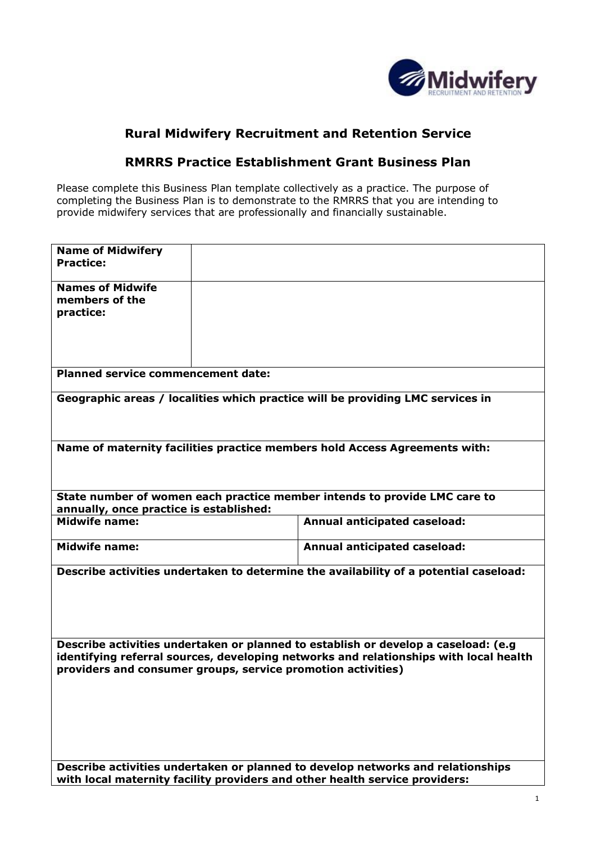

## **Rural Midwifery Recruitment and Retention Service**

## **RMRRS Practice Establishment Grant Business Plan**

Please complete this Business Plan template collectively as a practice. The purpose of completing the Business Plan is to demonstrate to the RMRRS that you are intending to provide midwifery services that are professionally and financially sustainable.

| <b>Name of Midwifery</b><br><b>Practice:</b>                                                                                                                                                                                                |  |                                                                           |  |  |  |  |
|---------------------------------------------------------------------------------------------------------------------------------------------------------------------------------------------------------------------------------------------|--|---------------------------------------------------------------------------|--|--|--|--|
| <b>Names of Midwife</b><br>members of the<br>practice:                                                                                                                                                                                      |  |                                                                           |  |  |  |  |
| <b>Planned service commencement date:</b>                                                                                                                                                                                                   |  |                                                                           |  |  |  |  |
| Geographic areas / localities which practice will be providing LMC services in                                                                                                                                                              |  |                                                                           |  |  |  |  |
| Name of maternity facilities practice members hold Access Agreements with:                                                                                                                                                                  |  |                                                                           |  |  |  |  |
| annually, once practice is established:                                                                                                                                                                                                     |  | State number of women each practice member intends to provide LMC care to |  |  |  |  |
| <b>Midwife name:</b>                                                                                                                                                                                                                        |  | <b>Annual anticipated caseload:</b>                                       |  |  |  |  |
| <b>Midwife name:</b>                                                                                                                                                                                                                        |  | <b>Annual anticipated caseload:</b>                                       |  |  |  |  |
| Describe activities undertaken to determine the availability of a potential caseload:                                                                                                                                                       |  |                                                                           |  |  |  |  |
| Describe activities undertaken or planned to establish or develop a caseload: (e.g<br>identifying referral sources, developing networks and relationships with local health<br>providers and consumer groups, service promotion activities) |  |                                                                           |  |  |  |  |
| Describe activities undertaken or planned to develop networks and relationships<br>with local maternity facility providers and other health service providers:                                                                              |  |                                                                           |  |  |  |  |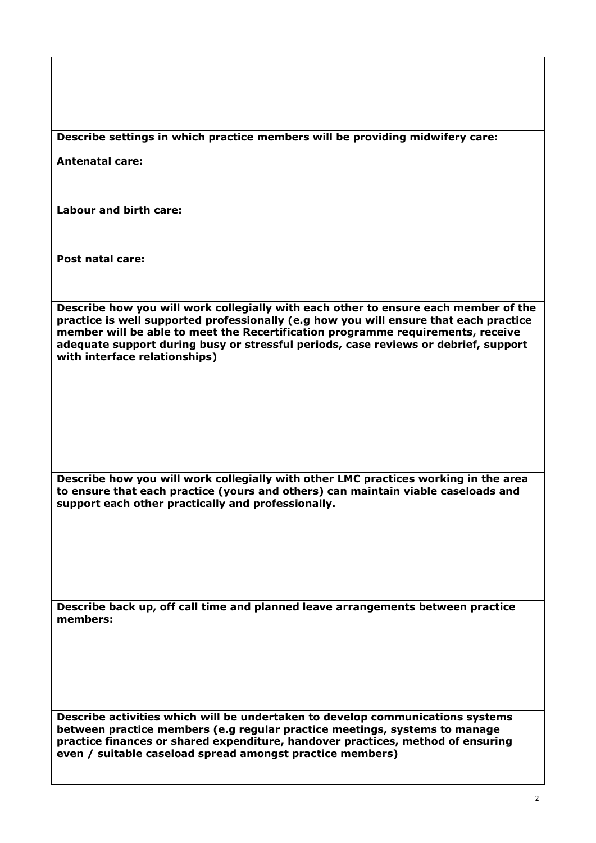| Describe settings in which practice members will be providing midwifery care: |  |  |  |
|-------------------------------------------------------------------------------|--|--|--|
|                                                                               |  |  |  |

**Antenatal care:**

**Labour and birth care:**

**Post natal care:**

**Describe how you will work collegially with each other to ensure each member of the practice is well supported professionally (e.g how you will ensure that each practice member will be able to meet the Recertification programme requirements, receive adequate support during busy or stressful periods, case reviews or debrief, support with interface relationships)**

**Describe how you will work collegially with other LMC practices working in the area to ensure that each practice (yours and others) can maintain viable caseloads and support each other practically and professionally.**

**Describe back up, off call time and planned leave arrangements between practice members:**

**Describe activities which will be undertaken to develop communications systems between practice members (e.g regular practice meetings, systems to manage practice finances or shared expenditure, handover practices, method of ensuring even / suitable caseload spread amongst practice members)**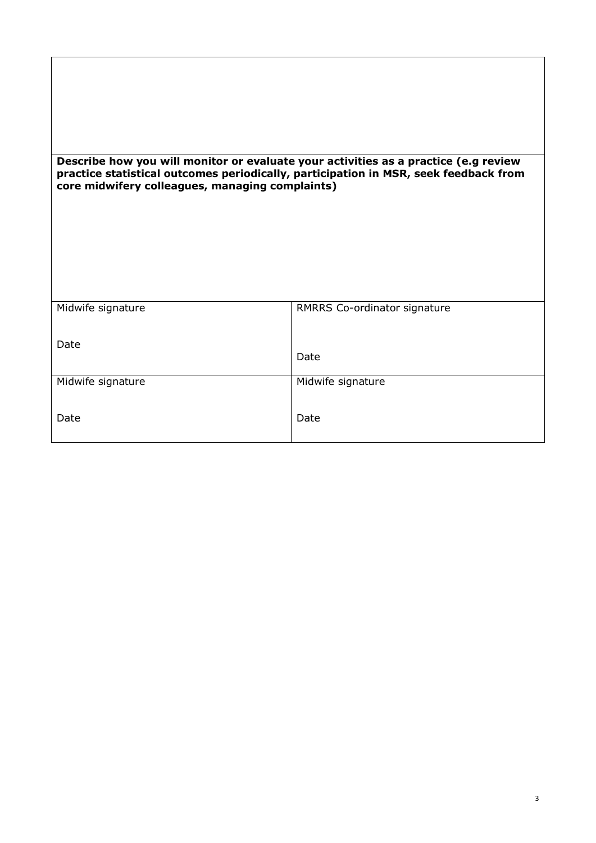## **Describe how you will monitor or evaluate your activities as a practice (e.g review practice statistical outcomes periodically, participation in MSR, seek feedback from core midwifery colleagues, managing complaints)**

| RMRRS Co-ordinator signature |
|------------------------------|
|                              |
|                              |
|                              |
| Date                         |
|                              |
| Midwife signature            |
|                              |
|                              |
| Date                         |
|                              |
|                              |